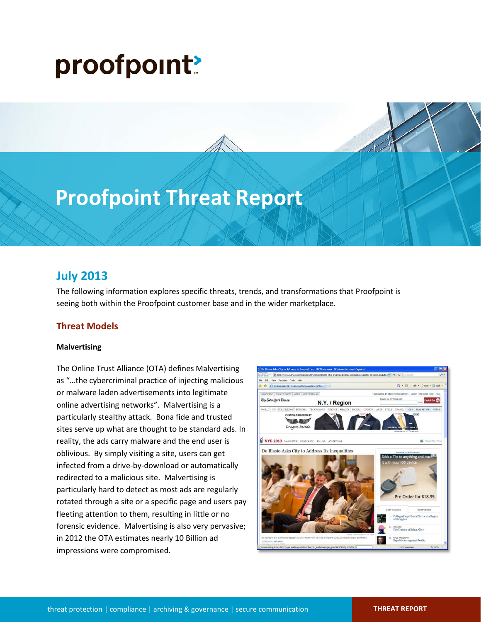# proofpoint?

## **Proofpoint Threat Report**

### **July 2013**

The following information explores specific threats, trends, and transformations that Proofpoint is seeing both within the Proofpoint customer base and in the wider marketplace.

#### **Threat Models**

#### **Malvertising**

The Online Trust Alliance (OTA) defines Malvertising as "…the cybercriminal practice of injecting malicious or malware laden advertisements into legitimate online advertising networks". Malvertising is a particularly stealthy attack. Bona fide and trusted sites serve up what are thought to be standard ads. In reality, the ads carry malware and the end user is oblivious. By simply visiting a site, users can get infected from a drive-by-download or automatically redirected to a malicious site. Malvertising is particularly hard to detect as most ads are regularly rotated through a site or a specific page and users pay fleeting attention to them, resulting in little or no forensic evidence. Malvertising is also very pervasive; in 2012 the OTA estimates nearly 10 Billion ad impressions were compromised.

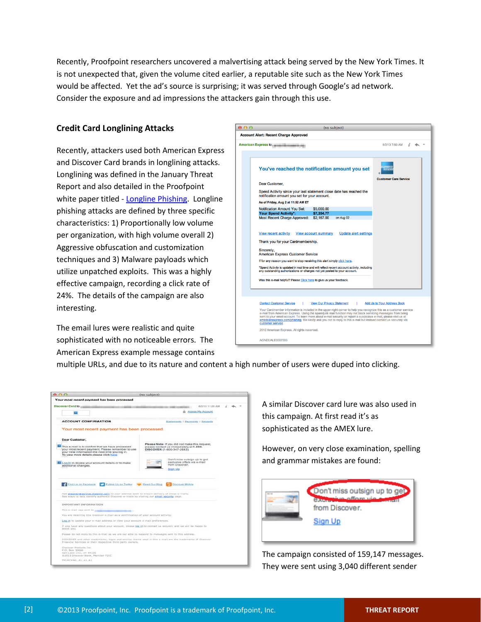Recently, Proofpoint researchers uncovered a malvertising attack being served by the New York Times. It is not unexpected that, given the volume cited earlier, a reputable site such as the New York Times would be affected. Yet the ad's source is surprising; it was served through Google's ad network. Consider the exposure and ad impressions the attackers gain through this use.

#### **Credit Card Longlining Attacks**

Recently, attackers used both American Express and Discover Card brands in longlining attacks. Longlining was defined in the January Threat Report and also detailed in the Proofpoint white paper titled - [Longline Phishing.](http://www.proofpoint.com/id/longline-phishing-whitepaper-industrial-phishing-2013/index.php) Longline phishing attacks are defined by three specific characteristics: 1) Proportionally low volume per organization, with high volume overall 2) Aggressive obfuscation and customization techniques and 3) Malware payloads which utilize unpatched exploits. This was a highly effective campaign, recording a click rate of 24%. The details of the campaign are also interesting.

The email lures were realistic and quite sophisticated with no noticeable errors. The American Express example message contains



multiple URLs, and due to its nature and content a high number of users were duped into clicking.

|                                                                                                                                                                                                                                         | (no subject)                                                                                                            |  |
|-----------------------------------------------------------------------------------------------------------------------------------------------------------------------------------------------------------------------------------------|-------------------------------------------------------------------------------------------------------------------------|--|
| Your most recent payment has been processed                                                                                                                                                                                             |                                                                                                                         |  |
| Discover Card to                                                                                                                                                                                                                        | MA 05:31 ET/ON                                                                                                          |  |
| E3                                                                                                                                                                                                                                      | the Access My Account                                                                                                   |  |
| <b>ACCOUNT CONFIRMATION</b>                                                                                                                                                                                                             | Statements   Payments   Rewards                                                                                         |  |
| Your most recent payment has been processed.                                                                                                                                                                                            |                                                                                                                         |  |
| Dear Customer,<br>This e-mail is to confirm that we have processed<br>your most recent payment. Please remember to use                                                                                                                  | Please Note: If you did not make this request,<br>please contact us immediately at 1-800-<br>DISCOVER (1-800-347-2683). |  |
| your new information the next time you log in.<br>To view more details please click here.                                                                                                                                               |                                                                                                                         |  |
| in Log in to review your account details or to make<br>additional changes.                                                                                                                                                              | Don't miss outsign up to get<br>exclusive offers via e-mail<br>from Discover.                                           |  |
|                                                                                                                                                                                                                                         | Sign Up                                                                                                                 |  |
|                                                                                                                                                                                                                                         |                                                                                                                         |  |
| Find Us on Facebook<br>Follow Us on Twitter<br>Add discover@service.discover.com to your address book to ensure delivery of these e-mails.<br>See ways to help identify authentic Discover e-mails by visiting our email security page. | Read Our Blog<br>Discover Mobile                                                                                        |  |
| IMPORTANT INFORMATION                                                                                                                                                                                                                   |                                                                                                                         |  |
| This e-mail was sent to                                                                                                                                                                                                                 |                                                                                                                         |  |
| You are receiving this Discover e-mail as a confirmation of your account activity.                                                                                                                                                      |                                                                                                                         |  |
| Log in to update your e-mail address or view your account e-mail preferences.                                                                                                                                                           |                                                                                                                         |  |
| If you have any questions about your account, prease tog in to contact us securely and we will be happy to<br>assist you.                                                                                                               |                                                                                                                         |  |
| Please do not reply to this e-mail as we are not able to respond to messages sent to this address.                                                                                                                                      |                                                                                                                         |  |
| DISCOVER and other trademarks, logos and service marks used in this e-mail are the trademarks of Discover<br>Financial Services or their respective third-party owners.                                                                 |                                                                                                                         |  |
| Discover Products Inc.<br>P.O. Box 30666<br>Salt Lake City, UT 84130<br>@2013 Discover Bank, Member FDIC                                                                                                                                |                                                                                                                         |  |

A similar Discover card lure was also used in this campaign. At first read it's as sophisticated as the AMEX lure.

However, on very close examination, spelling and grammar mistakes are found:



The campaign consisted of 159,147 messages. They were sent using 3,040 different sender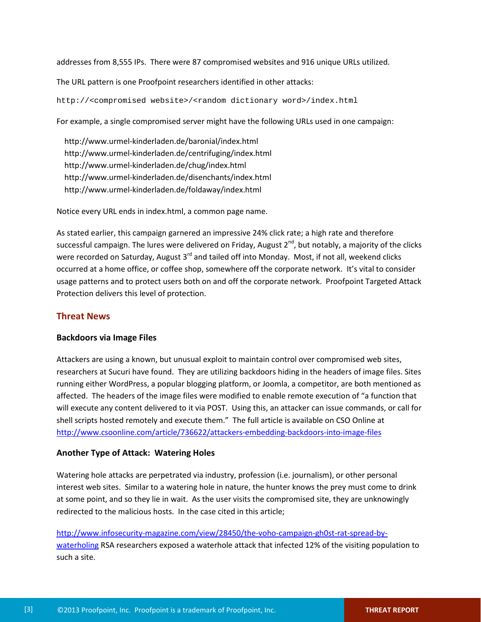addresses from 8,555 IPs. There were 87 compromised websites and 916 unique URLs utilized.

The URL pattern is one Proofpoint researchers identified in other attacks:

http://<compromised website>/<random dictionary word>/index.html

For example, a single compromised server might have the following URLs used in one campaign:

 http://www.urmel-kinderladen.de/baronial/index.html http://www.urmel-kinderladen.de/centrifuging/index.html http://www.urmel-kinderladen.de/chug/index.html http://www.urmel-kinderladen.de/disenchants/index.html http://www.urmel-kinderladen.de/foldaway/index.html

Notice every URL ends in index.html, a common page name.

As stated earlier, this campaign garnered an impressive 24% click rate; a high rate and therefore successful campaign. The lures were delivered on Friday, August  $2^{nd}$ , but notably, a majority of the clicks were recorded on Saturday, August 3<sup>rd</sup> and tailed off into Monday. Most, if not all, weekend clicks occurred at a home office, or coffee shop, somewhere off the corporate network. It's vital to consider usage patterns and to protect users both on and off the corporate network. Proofpoint Targeted Attack Protection delivers this level of protection.

#### **Threat News**

#### **Backdoors via Image Files**

Attackers are using a known, but unusual exploit to maintain control over compromised web sites, researchers at Sucuri have found. They are utilizing backdoors hiding in the headers of image files. Sites running either WordPress, a popular blogging platform, or Joomla, a competitor, are both mentioned as affected. The headers of the image files were modified to enable remote execution of "a function that will execute any content delivered to it via POST. Using this, an attacker can issue commands, or call for shell scripts hosted remotely and execute them." The full article is available on CSO Online at <http://www.csoonline.com/article/736622/attackers-embedding-backdoors-into-image-files>

#### **Another Type of Attack: Watering Holes**

Watering hole attacks are perpetrated via industry, profession (i.e. journalism), or other personal interest web sites. Similar to a watering hole in nature, the hunter knows the prey must come to drink at some point, and so they lie in wait. As the user visits the compromised site, they are unknowingly redirected to the malicious hosts. In the case cited in this article;

[http://www.infosecurity-magazine.com/view/28450/the-voho-campaign-gh0st-rat-spread-by](http://www.infosecurity-magazine.com/view/28450/the-voho-campaign-gh0st-rat-spread-by-waterholing)[waterholing](http://www.infosecurity-magazine.com/view/28450/the-voho-campaign-gh0st-rat-spread-by-waterholing) RSA researchers exposed a waterhole attack that infected 12% of the visiting population to such a site.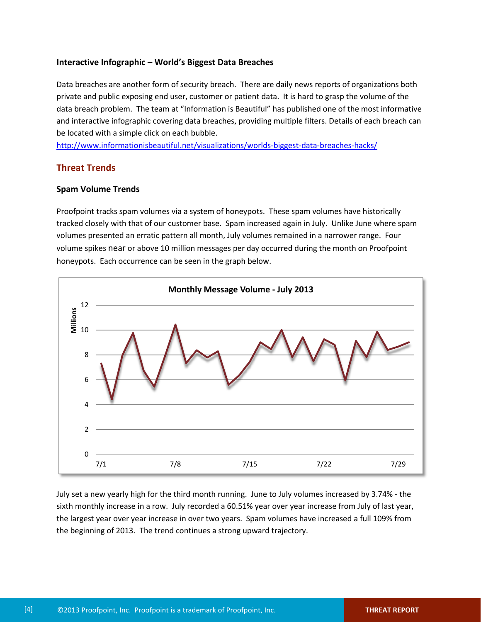#### **Interactive Infographic – World's Biggest Data Breaches**

Data breaches are another form of security breach. There are daily news reports of organizations both private and public exposing end user, customer or patient data. It is hard to grasp the volume of the data breach problem. The team at "Information is Beautiful" has published one of the most informative and interactive infographic covering data breaches, providing multiple filters. Details of each breach can be located with a simple click on each bubble.

<http://www.informationisbeautiful.net/visualizations/worlds-biggest-data-breaches-hacks/>

#### **Threat Trends**

#### **Spam Volume Trends**

Proofpoint tracks spam volumes via a system of honeypots. These spam volumes have historically tracked closely with that of our customer base. Spam increased again in July. Unlike June where spam volumes presented an erratic pattern all month, July volumes remained in a narrower range. Four volume spikes near or above 10 million messages per day occurred during the month on Proofpoint honeypots. Each occurrence can be seen in the graph below.



July set a new yearly high for the third month running. June to July volumes increased by 3.74% - the sixth monthly increase in a row. July recorded a 60.51% year over year increase from July of last year, the largest year over year increase in over two years. Spam volumes have increased a full 109% from the beginning of 2013. The trend continues a strong upward trajectory.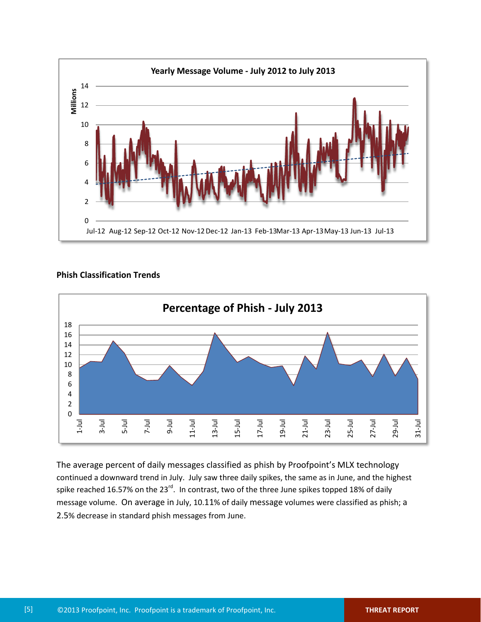

#### **Phish Classification Trends**



The average percent of daily messages classified as phish by Proofpoint's MLX technology continued a downward trend in July. July saw three daily spikes, the same as in June, and the highest spike reached 16.57% on the 23<sup>rd</sup>. In contrast, two of the three June spikes topped 18% of daily message volume. On average in July, 10.11% of daily message volumes were classified as phish; a 2.5% decrease in standard phish messages from June.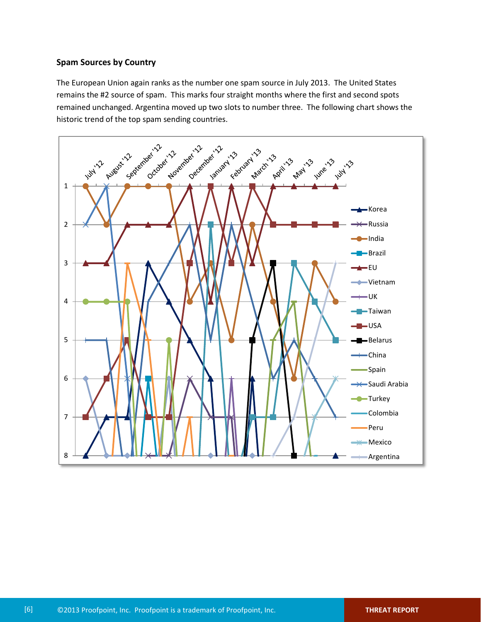#### **Spam Sources by Country**

The European Union again ranks as the number one spam source in July 2013. The United States remains the #2 source of spam. This marks four straight months where the first and second spots remained unchanged. Argentina moved up two slots to number three. The following chart shows the historic trend of the top spam sending countries.